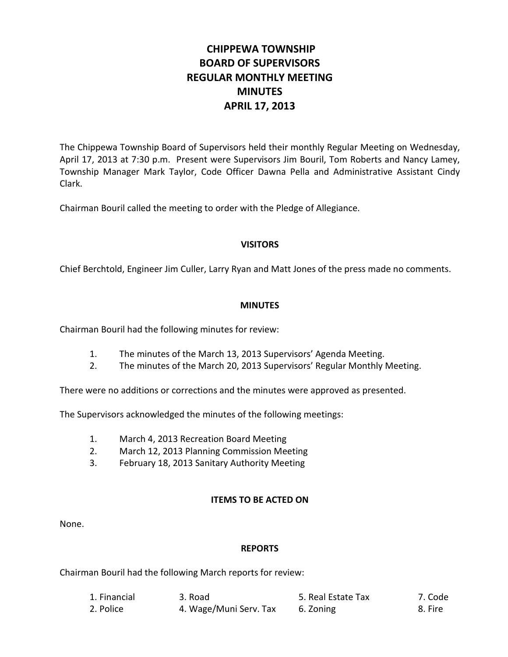# **CHIPPEWA TOWNSHIP BOARD OF SUPERVISORS REGULAR MONTHLY MEETING MINUTES APRIL 17, 2013**

The Chippewa Township Board of Supervisors held their monthly Regular Meeting on Wednesday, April 17, 2013 at 7:30 p.m. Present were Supervisors Jim Bouril, Tom Roberts and Nancy Lamey, Township Manager Mark Taylor, Code Officer Dawna Pella and Administrative Assistant Cindy Clark.

Chairman Bouril called the meeting to order with the Pledge of Allegiance.

## **VISITORS**

Chief Berchtold, Engineer Jim Culler, Larry Ryan and Matt Jones of the press made no comments.

## **MINUTES**

Chairman Bouril had the following minutes for review:

- 1. The minutes of the March 13, 2013 Supervisors' Agenda Meeting.
- 2. The minutes of the March 20, 2013 Supervisors' Regular Monthly Meeting.

There were no additions or corrections and the minutes were approved as presented.

The Supervisors acknowledged the minutes of the following meetings:

- 1. March 4, 2013 Recreation Board Meeting
- 2. March 12, 2013 Planning Commission Meeting
- 3. February 18, 2013 Sanitary Authority Meeting

## **ITEMS TO BE ACTED ON**

None.

## **REPORTS**

Chairman Bouril had the following March reports for review:

| 1. Financial | 3. Road                | 5. Real Estate Tax | 7. Code |
|--------------|------------------------|--------------------|---------|
| 2. Police    | 4. Wage/Muni Serv. Tax | 6. Zoning          | 8. Fire |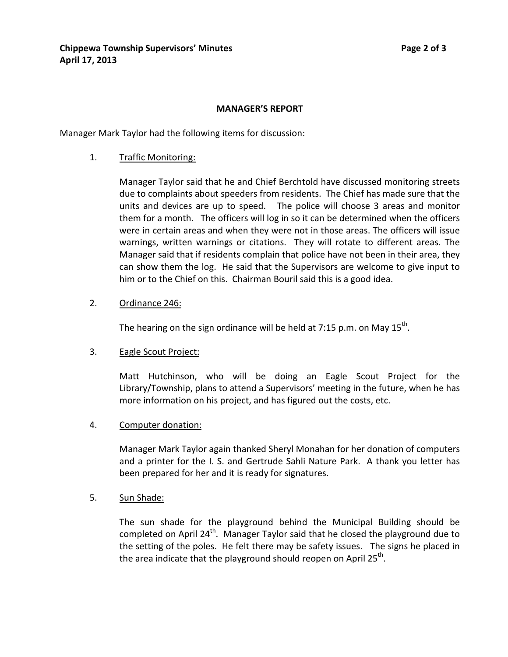### **MANAGER'S REPORT**

Manager Mark Taylor had the following items for discussion:

1. Traffic Monitoring:

Manager Taylor said that he and Chief Berchtold have discussed monitoring streets due to complaints about speeders from residents. The Chief has made sure that the units and devices are up to speed. The police will choose 3 areas and monitor them for a month. The officers will log in so it can be determined when the officers were in certain areas and when they were not in those areas. The officers will issue warnings, written warnings or citations. They will rotate to different areas. The Manager said that if residents complain that police have not been in their area, they can show them the log. He said that the Supervisors are welcome to give input to him or to the Chief on this. Chairman Bouril said this is a good idea.

2. Ordinance 246:

The hearing on the sign ordinance will be held at 7:15 p.m. on May  $15^{th}$ .

#### 3. Eagle Scout Project:

Matt Hutchinson, who will be doing an Eagle Scout Project for the Library/Township, plans to attend a Supervisors' meeting in the future, when he has more information on his project, and has figured out the costs, etc.

#### 4. Computer donation:

Manager Mark Taylor again thanked Sheryl Monahan for her donation of computers and a printer for the I. S. and Gertrude Sahli Nature Park. A thank you letter has been prepared for her and it is ready for signatures.

5. Sun Shade:

The sun shade for the playground behind the Municipal Building should be completed on April 24<sup>th</sup>. Manager Taylor said that he closed the playground due to the setting of the poles. He felt there may be safety issues. The signs he placed in the area indicate that the playground should reopen on April  $25^{th}$ .